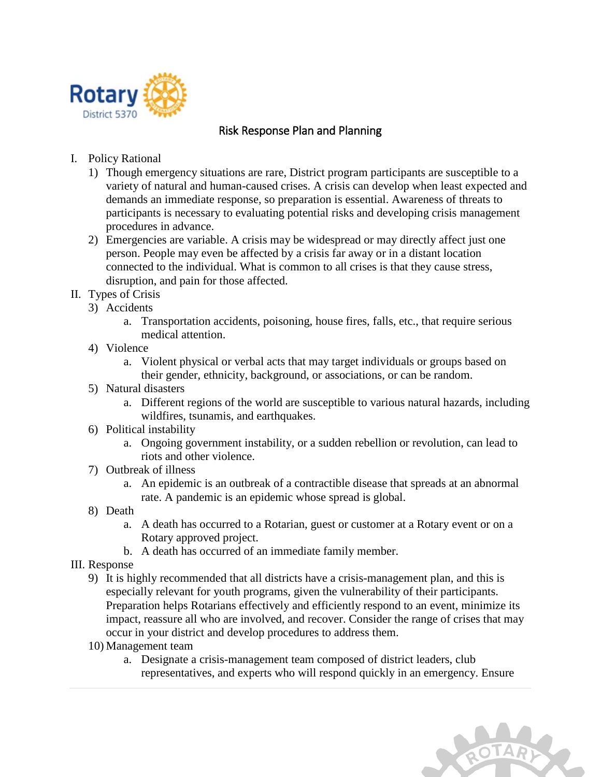

## Risk Response Plan and Planning

- I. Policy Rational
	- 1) Though emergency situations are rare, District program participants are susceptible to a variety of natural and human-caused crises. A crisis can develop when least expected and demands an immediate response, so preparation is essential. Awareness of threats to participants is necessary to evaluating potential risks and developing crisis management procedures in advance.
	- 2) Emergencies are variable. A crisis may be widespread or may directly affect just one person. People may even be affected by a crisis far away or in a distant location connected to the individual. What is common to all crises is that they cause stress, disruption, and pain for those affected.
- II. Types of Crisis
	- 3) Accidents
		- a. Transportation accidents, poisoning, house fires, falls, etc., that require serious medical attention.
	- 4) Violence
		- a. Violent physical or verbal acts that may target individuals or groups based on their gender, ethnicity, background, or associations, or can be random.
	- 5) Natural disasters
		- a. Different regions of the world are susceptible to various natural hazards, including wildfires, tsunamis, and earthquakes.
	- 6) Political instability
		- a. Ongoing government instability, or a sudden rebellion or revolution, can lead to riots and other violence.
	- 7) Outbreak of illness
		- a. An epidemic is an outbreak of a contractible disease that spreads at an abnormal rate. A pandemic is an epidemic whose spread is global.
	- 8) Death
		- a. A death has occurred to a Rotarian, guest or customer at a Rotary event or on a Rotary approved project.
		- b. A death has occurred of an immediate family member.
- III. Response
	- 9) It is highly recommended that all districts have a crisis-management plan, and this is especially relevant for youth programs, given the vulnerability of their participants. Preparation helps Rotarians effectively and efficiently respond to an event, minimize its impact, reassure all who are involved, and recover. Consider the range of crises that may occur in your district and develop procedures to address them.
	- 10) Management team
		- a. Designate a crisis-management team composed of district leaders, club representatives, and experts who will respond quickly in an emergency. Ensure

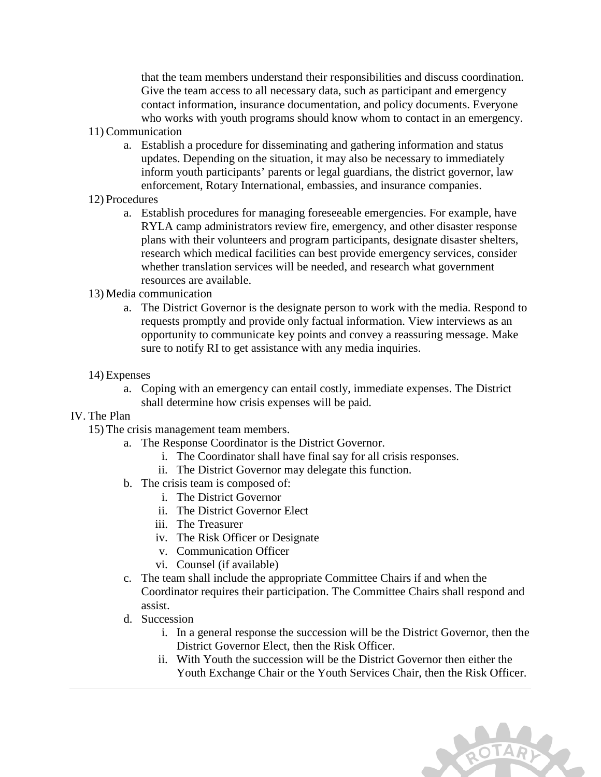that the team members understand their responsibilities and discuss coordination. Give the team access to all necessary data, such as participant and emergency contact information, insurance documentation, and policy documents. Everyone who works with youth programs should know whom to contact in an emergency.

- 11) Communication
	- a. Establish a procedure for disseminating and gathering information and status updates. Depending on the situation, it may also be necessary to immediately inform youth participants' parents or legal guardians, the district governor, law enforcement, Rotary International, embassies, and insurance companies.
- 12) Procedures
	- a. Establish procedures for managing foreseeable emergencies. For example, have RYLA camp administrators review fire, emergency, and other disaster response plans with their volunteers and program participants, designate disaster shelters, research which medical facilities can best provide emergency services, consider whether translation services will be needed, and research what government resources are available.
- 13) Media communication
	- a. The District Governor is the designate person to work with the media. Respond to requests promptly and provide only factual information. View interviews as an opportunity to communicate key points and convey a reassuring message. Make sure to notify RI to get assistance with any media inquiries.
- 14) Expenses
	- a. Coping with an emergency can entail costly, immediate expenses. The District shall determine how crisis expenses will be paid.

## IV. The Plan

- 15) The crisis management team members.
	- a. The Response Coordinator is the District Governor.
		- i. The Coordinator shall have final say for all crisis responses.
		- ii. The District Governor may delegate this function.
	- b. The crisis team is composed of:
		- i. The District Governor
		- ii. The District Governor Elect
		- iii. The Treasurer
		- iv. The Risk Officer or Designate
		- v. Communication Officer
		- vi. Counsel (if available)
	- c. The team shall include the appropriate Committee Chairs if and when the Coordinator requires their participation. The Committee Chairs shall respond and assist.
	- d. Succession
		- i. In a general response the succession will be the District Governor, then the District Governor Elect, then the Risk Officer.
		- ii. With Youth the succession will be the District Governor then either the Youth Exchange Chair or the Youth Services Chair, then the Risk Officer.

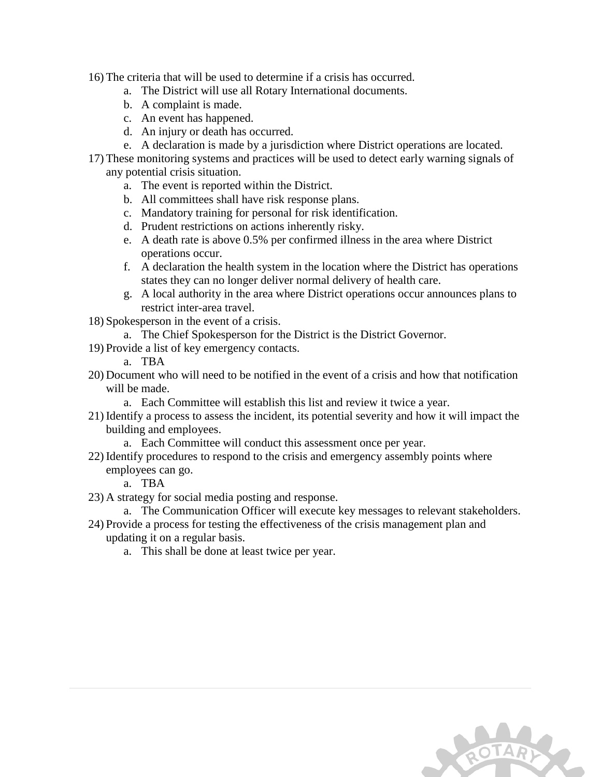16) The criteria that will be used to determine if a crisis has occurred.

- a. The District will use all Rotary International documents.
- b. A complaint is made.
- c. An event has happened.
- d. An injury or death has occurred.
- e. A declaration is made by a jurisdiction where District operations are located.
- 17) These monitoring systems and practices will be used to detect early warning signals of any potential crisis situation.
	- a. The event is reported within the District.
	- b. All committees shall have risk response plans.
	- c. Mandatory training for personal for risk identification.
	- d. Prudent restrictions on actions inherently risky.
	- e. A death rate is above 0.5% per confirmed illness in the area where District operations occur.
	- f. A declaration the health system in the location where the District has operations states they can no longer deliver normal delivery of health care.
	- g. A local authority in the area where District operations occur announces plans to restrict inter-area travel.
- 18) Spokesperson in the event of a crisis.
	- a. The Chief Spokesperson for the District is the District Governor.
- 19) Provide a list of key emergency contacts.
	- a. TBA
- 20) Document who will need to be notified in the event of a crisis and how that notification will be made.
	- a. Each Committee will establish this list and review it twice a year.
- 21) Identify a process to assess the incident, its potential severity and how it will impact the building and employees.
	- a. Each Committee will conduct this assessment once per year.
- 22) Identify procedures to respond to the crisis and emergency assembly points where employees can go.

a. TBA

- 23) A strategy for social media posting and response.
	- a. The Communication Officer will execute key messages to relevant stakeholders.
- 24) Provide a process for testing the effectiveness of the crisis management plan and updating it on a regular basis.
	- a. This shall be done at least twice per year.